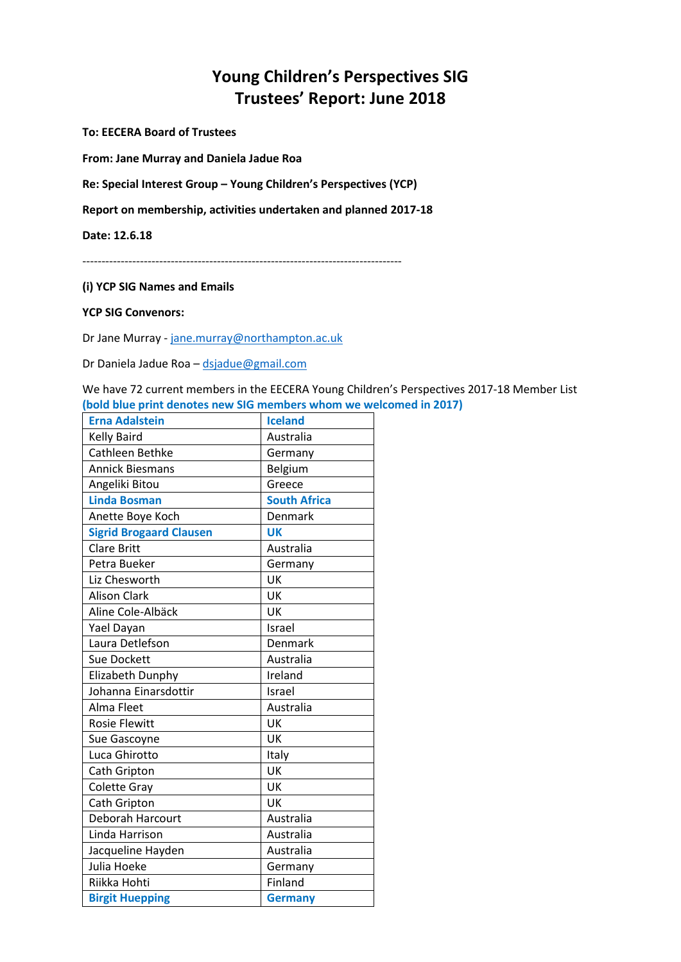# **Young Children's Perspectives SIG Trustees' Report: June 2018**

**To: EECERA Board of Trustees** 

**From: Jane Murray and Daniela Jadue Roa**

**Re: Special Interest Group – Young Children's Perspectives (YCP)**

**Report on membership, activities undertaken and planned 2017-18**

**Date: 12.6.18**

-----------------------------------------------------------------------------------

## **(i) YCP SIG Names and Emails**

## **YCP SIG Convenors:**

Dr Jane Murray - [jane.murray@northampton.ac.uk](mailto:jane.murray@northampton.ac.uk)

Dr Daniela Jadue Roa - dsjadue@gmail.com

We have 72 current members in the EECERA Young Children's Perspectives 2017-18 Member List **(bold blue print denotes new SIG members whom we welcomed in 2017)**

| <b>Erna Adalstein</b>          | <b>Iceland</b>      |
|--------------------------------|---------------------|
| Kelly Baird                    | Australia           |
| Cathleen Bethke                | Germany             |
| <b>Annick Biesmans</b>         | Belgium             |
| Angeliki Bitou                 | Greece              |
| <b>Linda Bosman</b>            | <b>South Africa</b> |
| Anette Boye Koch               | Denmark             |
| <b>Sigrid Brogaard Clausen</b> | <b>UK</b>           |
| <b>Clare Britt</b>             | Australia           |
| Petra Bueker                   | Germany             |
| Liz Chesworth                  | UK                  |
| <b>Alison Clark</b>            | UK                  |
| Aline Cole-Albäck              | UK                  |
| Yael Dayan                     | Israel              |
| Laura Detlefson                | Denmark             |
| Sue Dockett                    | Australia           |
| Elizabeth Dunphy               | Ireland             |
| Johanna Einarsdottir           | Israel              |
| Alma Fleet                     | Australia           |
| <b>Rosie Flewitt</b>           | UK                  |
| Sue Gascoyne                   | UK                  |
| Luca Ghirotto                  | Italy               |
| Cath Gripton                   | UK                  |
| Colette Gray                   | UK                  |
| Cath Gripton                   | UK                  |
| <b>Deborah Harcourt</b>        | Australia           |
| Linda Harrison                 | Australia           |
| Jacqueline Hayden              | Australia           |
| Julia Hoeke                    | Germany             |
| Riikka Hohti                   | Finland             |
| <b>Birgit Huepping</b>         | <b>Germany</b>      |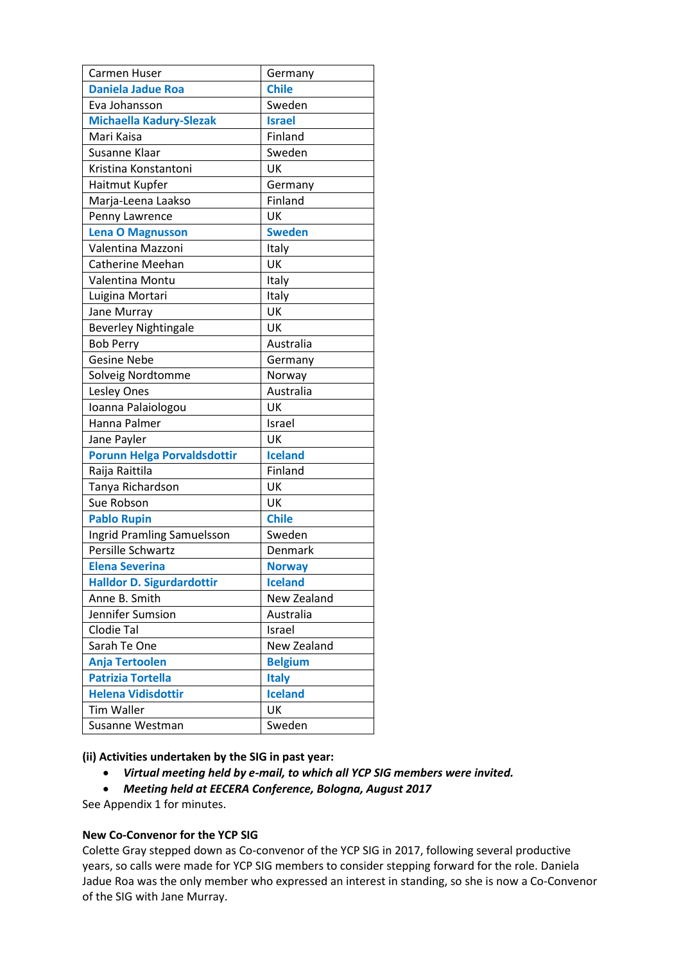| Carmen Huser                       | Germany        |  |
|------------------------------------|----------------|--|
| <b>Daniela Jadue Roa</b>           | <b>Chile</b>   |  |
| Eva Johansson                      | Sweden         |  |
| <b>Michaella Kadury-Slezak</b>     | <b>Israel</b>  |  |
| Mari Kaisa                         | Finland        |  |
| Susanne Klaar                      | Sweden         |  |
| Kristina Konstantoni               | UK             |  |
| Haitmut Kupfer                     | Germany        |  |
| Marja-Leena Laakso                 | Finland        |  |
| Penny Lawrence                     | UK             |  |
| <b>Lena O Magnusson</b>            | <b>Sweden</b>  |  |
| Valentina Mazzoni                  | Italy          |  |
| <b>Catherine Meehan</b>            | UK             |  |
| Valentina Montu                    | Italy          |  |
| Luigina Mortari                    | Italy          |  |
| Jane Murray                        | UK             |  |
| <b>Beverley Nightingale</b>        | UK             |  |
| <b>Bob Perry</b>                   | Australia      |  |
| <b>Gesine Nebe</b>                 | Germany        |  |
| Solveig Nordtomme                  | Norway         |  |
| Lesley Ones                        | Australia      |  |
| Ioanna Palaiologou                 | UK             |  |
| Hanna Palmer                       | Israel         |  |
| Jane Payler                        | UK             |  |
| <b>Porunn Helga Porvaldsdottir</b> | <b>Iceland</b> |  |
| Raija Raittila                     | Finland        |  |
| Tanya Richardson                   | UK             |  |
| Sue Robson                         | UK             |  |
| <b>Pablo Rupin</b>                 | <b>Chile</b>   |  |
| Ingrid Pramling Samuelsson         | Sweden         |  |
| Persille Schwartz                  | Denmark        |  |
| <b>Elena Severina</b>              | <b>Norway</b>  |  |
| <b>Halldor D. Sigurdardottir</b>   | <b>Iceland</b> |  |
| Anne B. Smith                      | New Zealand    |  |
| Jennifer Sumsion                   | Australia      |  |
| Clodie Tal                         | Israel         |  |
| Sarah Te One                       | New Zealand    |  |
| <b>Anja Tertoolen</b>              | <b>Belgium</b> |  |
| <b>Patrizia Tortella</b>           | <b>Italy</b>   |  |
| <b>Helena Vidisdottir</b>          | <b>Iceland</b> |  |
| <b>Tim Waller</b>                  | UK             |  |
| Susanne Westman                    | Sweden         |  |
|                                    |                |  |

**(ii) Activities undertaken by the SIG in past year:**

- *Virtual meeting held by e-mail, to which all YCP SIG members were invited.*
- *Meeting held at EECERA Conference, Bologna, August 2017*

See Appendix 1 for minutes.

## **New Co-Convenor for the YCP SIG**

Colette Gray stepped down as Co-convenor of the YCP SIG in 2017, following several productive years, so calls were made for YCP SIG members to consider stepping forward for the role. Daniela Jadue Roa was the only member who expressed an interest in standing, so she is now a Co-Convenor of the SIG with Jane Murray.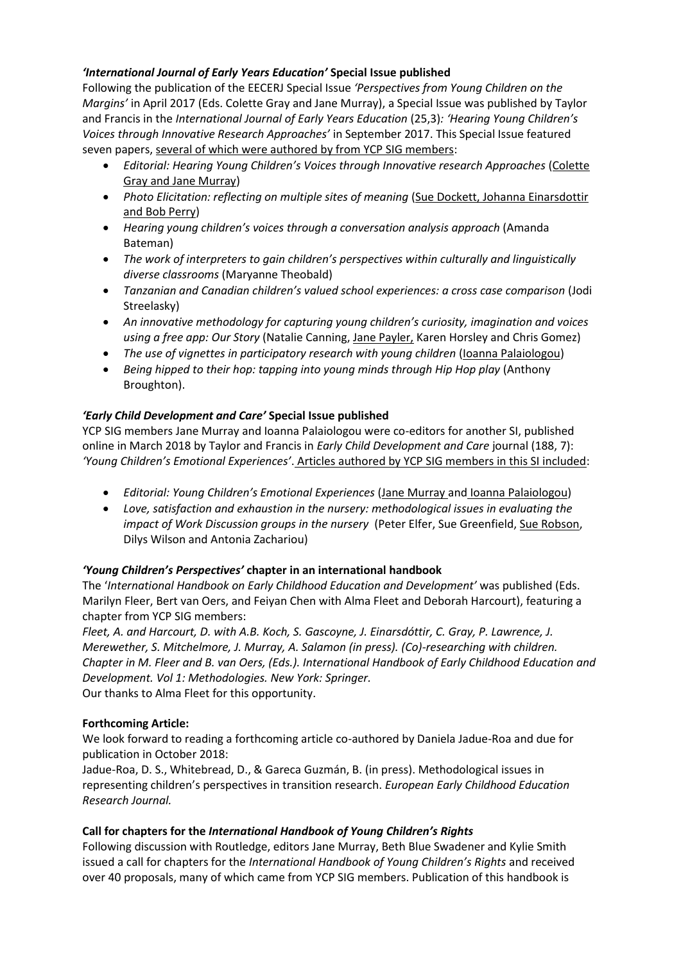# *'International Journal of Early Years Education'* **Special Issue published**

Following the publication of the EECERJ Special Issue *'Perspectives from Young Children on the Margins'* in April 2017 (Eds. Colette Gray and Jane Murray), a Special Issue was published by Taylor and Francis in the *International Journal of Early Years Education* (25,3)*: 'Hearing Young Children's Voices through Innovative Research Approaches'* in September 2017. This Special Issue featured seven papers, several of which were authored by from YCP SIG members:

- *Editorial: Hearing Young Children's Voices through Innovative research Approaches* (Colette Gray and Jane Murray)
- *Photo Elicitation: reflecting on multiple sites of meaning* (Sue Dockett, Johanna Einarsdottir and Bob Perry)
- *Hearing young children's voices through a conversation analysis approach* (Amanda Bateman)
- *The work of interpreters to gain children's perspectives within culturally and linguistically diverse classrooms* (Maryanne Theobald)
- *Tanzanian and Canadian children's valued school experiences: a cross case comparison* (Jodi Streelasky)
- *An innovative methodology for capturing young children's curiosity, imagination and voices using a free app: Our Story* (Natalie Canning, Jane Payler, Karen Horsley and Chris Gomez)
- The use of vignettes in participatory research with young children (Ioanna Palaiologou)
- *Being hipped to their hop: tapping into young minds through Hip Hop play* (Anthony Broughton).

# *'Early Child Development and Care'* **Special Issue published**

YCP SIG members Jane Murray and Ioanna Palaiologou were co-editors for another SI, published online in March 2018 by Taylor and Francis in *Early Child Development and Care* journal (188, 7): *'Young Children's Emotional Experiences'*. Articles authored by YCP SIG members in this SI included:

- *Editorial: Young Children's Emotional Experiences* (Jane Murray and Ioanna Palaiologou)
- *[Love, satisfaction and exhaustion in the nursery: methodological issues in evaluating the](https://www.tandfonline.com/doi/full/10.1080/03004430.2018.1446431)  [impact of Work Discussion groups in the nursery](https://www.tandfonline.com/doi/full/10.1080/03004430.2018.1446431)* (Peter Elfer, Sue Greenfield, Sue Robson, Dilys Wilson and Antonia Zachariou)

# *'Young Children's Perspectives'* **chapter in an international handbook**

The '*International Handbook on Early Childhood Education and Development'* was published (Eds. Marilyn Fleer, Bert van Oers, and Feiyan Chen with Alma Fleet and Deborah Harcourt), featuring a chapter from YCP SIG members:

*Fleet, A. and Harcourt, D. with A.B. Koch, S. Gascoyne, J. Einarsdóttir, C. Gray, P. Lawrence, J. Merewether, S. Mitchelmore, J. Murray, A. Salamon (in press). (Co)-researching with children. Chapter in M. Fleer and B. van Oers, (Eds.). International Handbook of Early Childhood Education and Development. Vol 1: Methodologies. New York: Springer.* Our thanks to Alma Fleet for this opportunity.

# **Forthcoming Article:**

We look forward to reading a forthcoming article co-authored by Daniela Jadue-Roa and due for publication in October 2018:

Jadue-Roa, D. S., Whitebread, D., & Gareca Guzmán, B. (in press). Methodological issues in representing children's perspectives in transition research. *European Early Childhood Education Research Journal.*

# **Call for chapters for the** *International Handbook of Young Children's Rights*

Following discussion with Routledge, editors Jane Murray, Beth Blue Swadener and Kylie Smith issued a call for chapters for the *International Handbook of Young Children's Rights* and received over 40 proposals, many of which came from YCP SIG members. Publication of this handbook is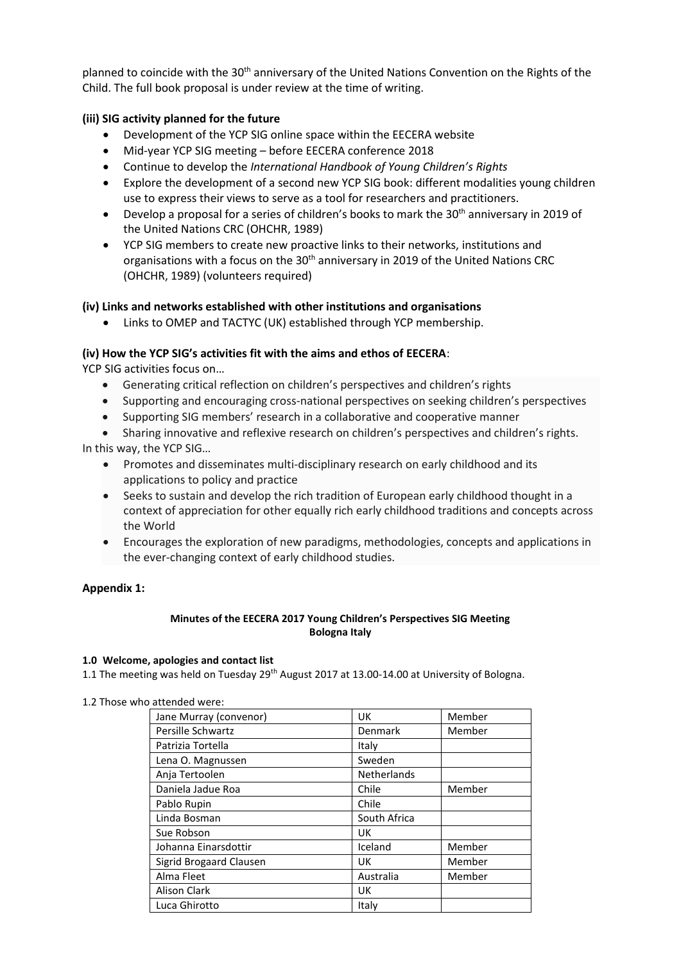planned to coincide with the 30<sup>th</sup> anniversary of the United Nations Convention on the Rights of the Child. The full book proposal is under review at the time of writing.

## **(iii) SIG activity planned for the future**

- Development of the YCP SIG online space within the EECERA website
- Mid-year YCP SIG meeting before EECERA conference 2018
- Continue to develop the *International Handbook of Young Children's Rights*
- Explore the development of a second new YCP SIG book: different modalities young children use to express their views to serve as a tool for researchers and practitioners.
- Develop a proposal for a series of children's books to mark the 30<sup>th</sup> anniversary in 2019 of the United Nations CRC (OHCHR, 1989)
- YCP SIG members to create new proactive links to their networks, institutions and organisations with a focus on the 30<sup>th</sup> anniversary in 2019 of the United Nations CRC (OHCHR, 1989) (volunteers required)

## **(iv) Links and networks established with other institutions and organisations**

Links to OMEP and TACTYC (UK) established through YCP membership.

## **(iv) How the YCP SIG's activities fit with the aims and ethos of EECERA**:

YCP SIG activities focus on…

- Generating critical reflection on children's perspectives and children's rights
- Supporting and encouraging cross-national perspectives on seeking children's perspectives
- Supporting SIG members' research in a collaborative and cooperative manner
- Sharing innovative and reflexive research on children's perspectives and children's rights. In this way, the YCP SIG…
	- Promotes and disseminates multi-disciplinary research on early childhood and its applications to policy and practice
	- Seeks to sustain and develop the rich tradition of European early childhood thought in a context of appreciation for other equally rich early childhood traditions and concepts across the World
	- Encourages the exploration of new paradigms, methodologies, concepts and applications in the ever-changing context of early childhood studies.

## **Appendix 1:**

## **Minutes of the EECERA 2017 Young Children's Perspectives SIG Meeting Bologna Italy**

## **1.0 Welcome, apologies and contact list**

1.1 The meeting was held on Tuesday 29th August 2017 at 13.00-14.00 at University of Bologna.

|  |  |  | 1.2 Those who attended were: |  |
|--|--|--|------------------------------|--|
|--|--|--|------------------------------|--|

| Jane Murray (convenor)  | UK                 | Member |
|-------------------------|--------------------|--------|
| Persille Schwartz       | Denmark            | Member |
| Patrizia Tortella       | Italy              |        |
| Lena O. Magnussen       | Sweden             |        |
| Anja Tertoolen          | <b>Netherlands</b> |        |
| Daniela Jadue Roa       | Chile              | Member |
| Pablo Rupin             | Chile              |        |
| Linda Bosman            | South Africa       |        |
| Sue Robson              | UK                 |        |
| Johanna Einarsdottir    | Iceland            | Member |
| Sigrid Brogaard Clausen | UK                 | Member |
| Alma Fleet              | Australia          | Member |
| <b>Alison Clark</b>     | UK                 |        |
| Luca Ghirotto           | Italy              |        |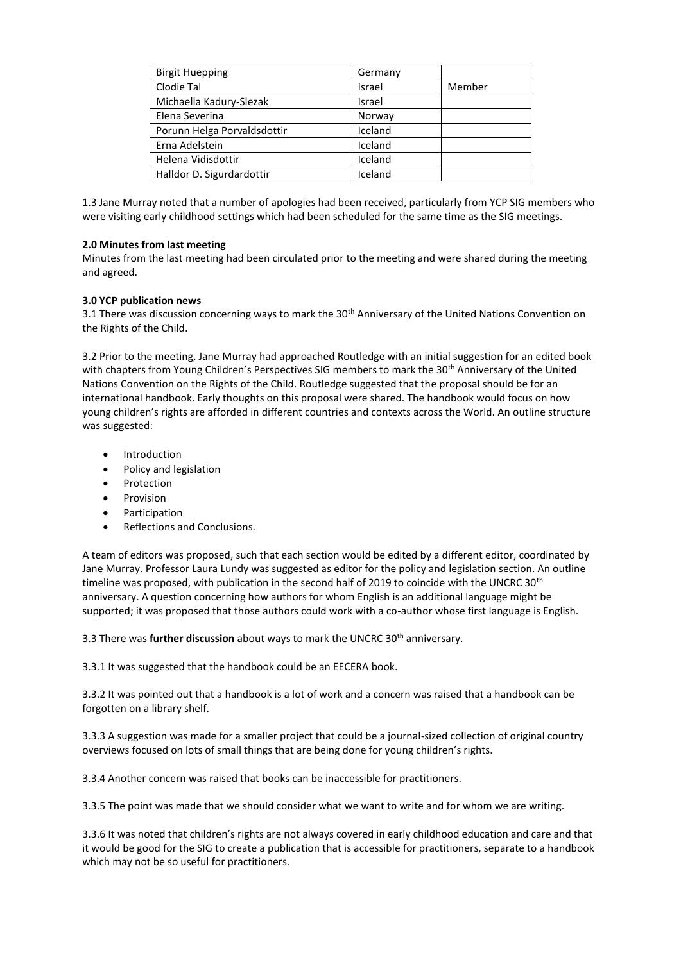| <b>Birgit Huepping</b>      | Germany       |        |
|-----------------------------|---------------|--------|
| Clodie Tal                  | Israel        | Member |
| Michaella Kadury-Slezak     | <b>Israel</b> |        |
| Elena Severina              | Norway        |        |
| Porunn Helga Porvaldsdottir | Iceland       |        |
| Erna Adelstein              | Iceland       |        |
| Helena Vidisdottir          | Iceland       |        |
| Halldor D. Sigurdardottir   | Iceland       |        |

1.3 Jane Murray noted that a number of apologies had been received, particularly from YCP SIG members who were visiting early childhood settings which had been scheduled for the same time as the SIG meetings.

## **2.0 Minutes from last meeting**

Minutes from the last meeting had been circulated prior to the meeting and were shared during the meeting and agreed.

## **3.0 YCP publication news**

3.1 There was discussion concerning ways to mark the 30<sup>th</sup> Anniversary of the United Nations Convention on the Rights of the Child.

3.2 Prior to the meeting, Jane Murray had approached Routledge with an initial suggestion for an edited book with chapters from Young Children's Perspectives SIG members to mark the 30<sup>th</sup> Anniversary of the United Nations Convention on the Rights of the Child. Routledge suggested that the proposal should be for an international handbook. Early thoughts on this proposal were shared. The handbook would focus on how young children's rights are afforded in different countries and contexts across the World. An outline structure was suggested:

- Introduction
- Policy and legislation
- Protection
- **•** Provision
- Participation
- Reflections and Conclusions.

A team of editors was proposed, such that each section would be edited by a different editor, coordinated by Jane Murray. Professor Laura Lundy was suggested as editor for the policy and legislation section. An outline timeline was proposed, with publication in the second half of 2019 to coincide with the UNCRC 30<sup>th</sup> anniversary. A question concerning how authors for whom English is an additional language might be supported; it was proposed that those authors could work with a co-author whose first language is English.

3.3 There was **further discussion** about ways to mark the UNCRC 30<sup>th</sup> anniversary.

3.3.1 It was suggested that the handbook could be an EECERA book.

3.3.2 It was pointed out that a handbook is a lot of work and a concern was raised that a handbook can be forgotten on a library shelf.

3.3.3 A suggestion was made for a smaller project that could be a journal-sized collection of original country overviews focused on lots of small things that are being done for young children's rights.

3.3.4 Another concern was raised that books can be inaccessible for practitioners.

3.3.5 The point was made that we should consider what we want to write and for whom we are writing.

3.3.6 It was noted that children's rights are not always covered in early childhood education and care and that it would be good for the SIG to create a publication that is accessible for practitioners, separate to a handbook which may not be so useful for practitioners.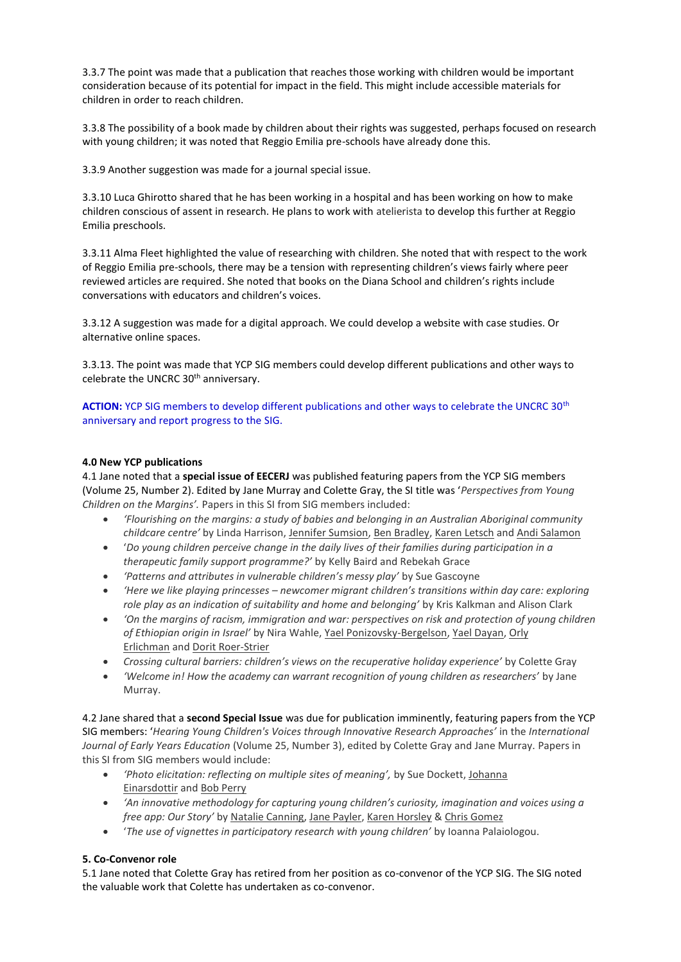3.3.7 The point was made that a publication that reaches those working with children would be important consideration because of its potential for impact in the field. This might include accessible materials for children in order to reach children.

3.3.8 The possibility of a book made by children about their rights was suggested, perhaps focused on research with young children; it was noted that Reggio Emilia pre-schools have already done this.

3.3.9 Another suggestion was made for a journal special issue.

3.3.10 Luca Ghirotto shared that he has been working in a hospital and has been working on how to make children conscious of assent in research. He plans to work with atelierista to develop this further at Reggio Emilia preschools.

3.3.11 Alma Fleet highlighted the value of researching with children. She noted that with respect to the work of Reggio Emilia pre-schools, there may be a tension with representing children's views fairly where peer reviewed articles are required. She noted that books on the Diana School and children's rights include conversations with educators and children's voices.

3.3.12 A suggestion was made for a digital approach. We could develop a website with case studies. Or alternative online spaces.

3.3.13. The point was made that YCP SIG members could develop different publications and other ways to celebrate the UNCRC 30<sup>th</sup> anniversary.

**ACTION:** YCP SIG members to develop different publications and other ways to celebrate the UNCRC 30th anniversary and report progress to the SIG.

## **4.0 New YCP publications**

4.1 Jane noted that a **special issue of EECERJ** was published featuring papers from the YCP SIG members (Volume 25, Number 2). Edited by Jane Murray and Colette Gray, the SI title was '*Perspectives from Young Children on the Margins'.* Papers in this SI from SIG members included:

- *'Flourishing on the margins: a study of babies and belonging in an Australian Aboriginal community childcare centre'* by Linda Harrison, [Jennifer Sumsion,](http://www.tandfonline.com/author/Sumsion%2C+Jennifer) [Ben Bradley,](http://www.tandfonline.com/author/Bradley%2C+Ben) [Karen Letsch](http://www.tandfonline.com/author/Letsch%2C+Karen) and [Andi Salamon](http://www.tandfonline.com/author/Salamon%2C+Andi)
- '*Do young children perceive change in the daily lives of their families during participation in a therapeutic family support programme?'* by Kelly Baird and Rebekah Grace
- *'Patterns and attributes in vulnerable children's messy play'* by Sue Gascoyne
- *'Here we like playing princesses – newcomer migrant children's transitions within day care: exploring role play as an indication of suitability and home and belonging'* by Kris Kalkman and Alison Clark
- *'On the margins of racism, immigration and war: perspectives on risk and protection of young children of Ethiopian origin in Israel'* by Nira Wahle[, Yael Ponizovsky-Bergelson,](http://www.tandfonline.com/author/Ponizovsky-Bergelson%2C+Yael) [Yael Dayan,](http://www.tandfonline.com/author/Dayan%2C+Yael) [Orly](http://www.tandfonline.com/author/Erlichman%2C+Orly)  [Erlichman](http://www.tandfonline.com/author/Erlichman%2C+Orly) and [Dorit Roer-Strier](http://www.tandfonline.com/author/Roer-Strier%2C+Dorit)
- *Crossing cultural barriers: children's views on the recuperative holiday experience'* by Colette Gray
- *'Welcome in! How the academy can warrant recognition of young children as researchers'* by Jane Murray.

4.2 Jane shared that a **second Special Issue** was due for publication imminently, featuring papers from the YCP SIG members: '*Hearing Young Children's Voices through Innovative Research Approaches'* in the *International Journal of Early Years Education* (Volume 25, Number 3), edited by Colette Gray and Jane Murray. Papers in this SI from SIG members would include:

- *'Photo elicitation: reflecting on multiple sites of meaning',* by Sue Dockett, [Johanna](http://www.tandfonline.com/author/Einarsdottir%2C+Johanna)  [Einarsdottir](http://www.tandfonline.com/author/Einarsdottir%2C+Johanna) and [Bob Perry](http://www.tandfonline.com/author/Perry%2C+Bob)
- *'An innovative methodology for capturing young children's curiosity, imagination and voices using a free app: Our Story'* b[y Natalie Canning,](http://www.tandfonline.com/author/Canning%2C+Natalie) [Jane Payler,](http://www.tandfonline.com/author/Payler%2C+Jane) [Karen Horsley](http://www.tandfonline.com/author/Horsley%2C+Karen) & Chris [Gomez](http://www.tandfonline.com/author/Gomez%2C+Chris)
- '*The use of vignettes in participatory research with young children'* by Ioanna Palaiologou.

## **5. Co-Convenor role**

5.1 Jane noted that Colette Gray has retired from her position as co-convenor of the YCP SIG. The SIG noted the valuable work that Colette has undertaken as co-convenor.